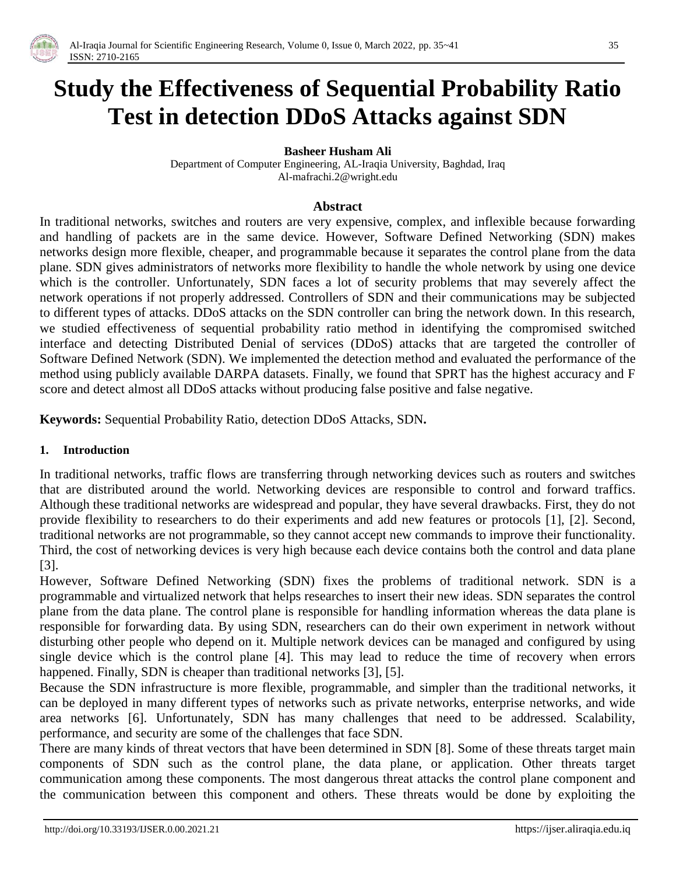

# **Study the Effectiveness of Sequential Probability Ratio Test in detection DDoS Attacks against SDN**

**Basheer Husham Ali**

Department of Computer Engineering, AL-Iraqia University, Baghdad, Iraq Al-mafrachi.2@wright.edu

#### **Abstract**

In traditional networks, switches and routers are very expensive, complex, and inflexible because forwarding and handling of packets are in the same device. However, Software Defined Networking (SDN) makes networks design more flexible, cheaper, and programmable because it separates the control plane from the data plane. SDN gives administrators of networks more flexibility to handle the whole network by using one device which is the controller. Unfortunately, SDN faces a lot of security problems that may severely affect the network operations if not properly addressed. Controllers of SDN and their communications may be subjected to different types of attacks. DDoS attacks on the SDN controller can bring the network down. In this research, we studied effectiveness of sequential probability ratio method in identifying the compromised switched interface and detecting Distributed Denial of services (DDoS) attacks that are targeted the controller of Software Defined Network (SDN). We implemented the detection method and evaluated the performance of the method using publicly available DARPA datasets. Finally, we found that SPRT has the highest accuracy and F score and detect almost all DDoS attacks without producing false positive and false negative.

**Keywords:** Sequential Probability Ratio, detection DDoS Attacks, SDN**.**

#### **1. Introduction**

In traditional networks, traffic flows are transferring through networking devices such as routers and switches that are distributed around the world. Networking devices are responsible to control and forward traffics. Although these traditional networks are widespread and popular, they have several drawbacks. First, they do not provide flexibility to researchers to do their experiments and add new features or protocols [1], [2]. Second, traditional networks are not programmable, so they cannot accept new commands to improve their functionality. Third, the cost of networking devices is very high because each device contains both the control and data plane [3].

However, Software Defined Networking (SDN) fixes the problems of traditional network. SDN is a programmable and virtualized network that helps researches to insert their new ideas. SDN separates the control plane from the data plane. The control plane is responsible for handling information whereas the data plane is responsible for forwarding data. By using SDN, researchers can do their own experiment in network without disturbing other people who depend on it. Multiple network devices can be managed and configured by using single device which is the control plane [4]. This may lead to reduce the time of recovery when errors happened. Finally, SDN is cheaper than traditional networks [3], [5].

Because the SDN infrastructure is more flexible, programmable, and simpler than the traditional networks, it can be deployed in many different types of networks such as private networks, enterprise networks, and wide area networks [6]. Unfortunately, SDN has many challenges that need to be addressed. Scalability, performance, and security are some of the challenges that face SDN.

There are many kinds of threat vectors that have been determined in SDN [8]. Some of these threats target main components of SDN such as the control plane, the data plane, or application. Other threats target communication among these components. The most dangerous threat attacks the control plane component and the communication between this component and others. These threats would be done by exploiting the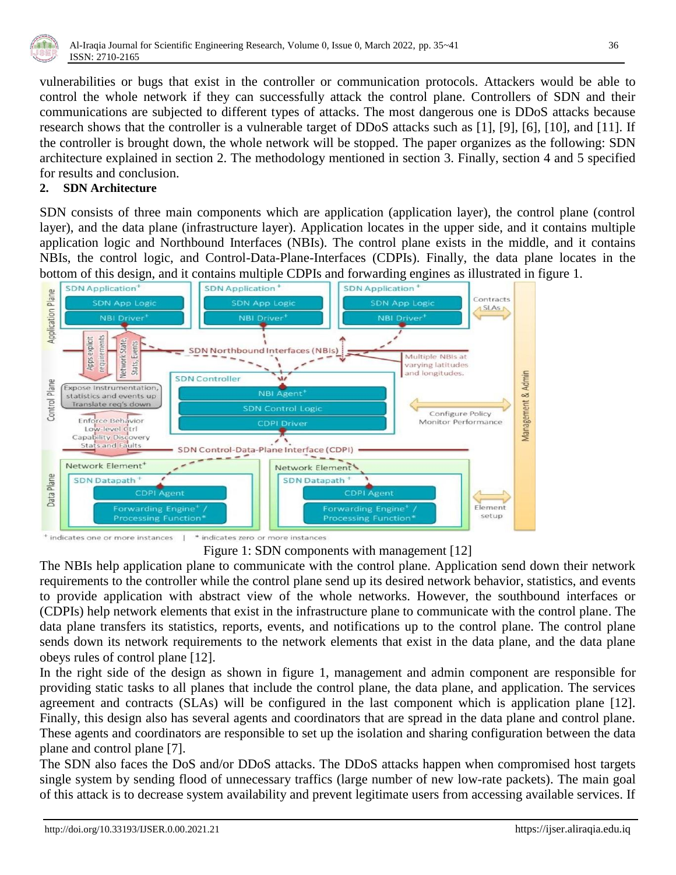

vulnerabilities or bugs that exist in the controller or communication protocols. Attackers would be able to control the whole network if they can successfully attack the control plane. Controllers of SDN and their communications are subjected to different types of attacks. The most dangerous one is DDoS attacks because research shows that the controller is a vulnerable target of DDoS attacks such as [1], [9], [6], [10], and [11]. If the controller is brought down, the whole network will be stopped. The paper organizes as the following: SDN architecture explained in section 2. The methodology mentioned in section 3. Finally, section 4 and 5 specified for results and conclusion.

## **2. SDN Architecture**

SDN consists of three main components which are application (application layer), the control plane (control layer), and the data plane (infrastructure layer). Application locates in the upper side, and it contains multiple application logic and Northbound Interfaces (NBIs). The control plane exists in the middle, and it contains NBIs, the control logic, and Control-Data-Plane-Interfaces (CDPIs). Finally, the data plane locates in the bottom of this design, and it contains multiple CDPIs and forwarding engines as illustrated in figure 1.



<sup>+</sup> indicates one or more instances \* indicates zero or more instances

Figure 1: SDN components with management [12]

The NBIs help application plane to communicate with the control plane. Application send down their network requirements to the controller while the control plane send up its desired network behavior, statistics, and events to provide application with abstract view of the whole networks. However, the southbound interfaces or (CDPIs) help network elements that exist in the infrastructure plane to communicate with the control plane. The data plane transfers its statistics, reports, events, and notifications up to the control plane. The control plane sends down its network requirements to the network elements that exist in the data plane, and the data plane obeys rules of control plane [12].

In the right side of the design as shown in figure 1, management and admin component are responsible for providing static tasks to all planes that include the control plane, the data plane, and application. The services agreement and contracts (SLAs) will be configured in the last component which is application plane [12]. Finally, this design also has several agents and coordinators that are spread in the data plane and control plane. These agents and coordinators are responsible to set up the isolation and sharing configuration between the data plane and control plane [7].

The SDN also faces the DoS and/or DDoS attacks. The DDoS attacks happen when compromised host targets single system by sending flood of unnecessary traffics (large number of new low-rate packets). The main goal of this attack is to decrease system availability and prevent legitimate users from accessing available services. If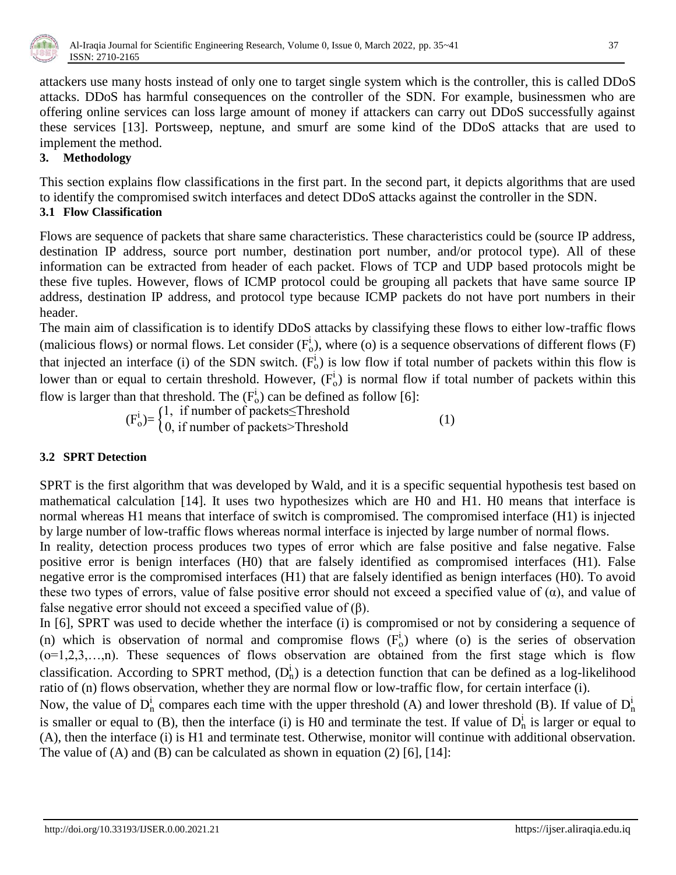

attackers use many hosts instead of only one to target single system which is the controller, this is called DDoS attacks. DDoS has harmful consequences on the controller of the SDN. For example, businessmen who are offering online services can loss large amount of money if attackers can carry out DDoS successfully against these services [13]. Portsweep, neptune, and smurf are some kind of the DDoS attacks that are used to implement the method.

## **3. Methodology**

This section explains flow classifications in the first part. In the second part, it depicts algorithms that are used to identify the compromised switch interfaces and detect DDoS attacks against the controller in the SDN.

## **3.1 Flow Classification**

Flows are sequence of packets that share same characteristics. These characteristics could be (source IP address, destination IP address, source port number, destination port number, and/or protocol type). All of these information can be extracted from header of each packet. Flows of TCP and UDP based protocols might be these five tuples. However, flows of ICMP protocol could be grouping all packets that have same source IP address, destination IP address, and protocol type because ICMP packets do not have port numbers in their header.

The main aim of classification is to identify DDoS attacks by classifying these flows to either low-traffic flows (malicious flows) or normal flows. Let consider  $(F_0^i)$ , where (o) is a sequence observations of different flows (F) that injected an interface (i) of the SDN switch.  $(F_0^i)$  is low flow if total number of packets within this flow is lower than or equal to certain threshold. However,  $(F_0^i)$  is normal flow if total number of packets within this flow is larger than that threshold. The  $(F_o^i)$  can be defined as follow [6]:

 $(F_o^i) = \begin{cases} 1, & \text{if number of packets} \leq \text{Threshold} \\ 0, & \text{if number of packets} > \text{Threshold} \end{cases}$  (1)

## **3.2 SPRT Detection**

SPRT is the first algorithm that was developed by Wald, and it is a specific [sequential hypothesis test](https://en.wikipedia.org/wiki/Sequential_analysis) based on mathematical calculation [14]. It uses two hypothesizes which are H0 and H1. H0 means that interface is normal whereas H1 means that interface of switch is compromised. The compromised interface (H1) is injected by large number of low-traffic flows whereas normal interface is injected by large number of normal flows.

In reality, detection process produces two types of error which are false positive and false negative. False positive error is benign interfaces (H0) that are falsely identified as compromised interfaces (H1). False negative error is the compromised interfaces (H1) that are falsely identified as benign interfaces (H0). To avoid these two types of errors, value of false positive error should not exceed a specified value of  $(\alpha)$ , and value of false negative error should not exceed a specified value of  $(\beta)$ .

In [6], SPRT was used to decide whether the interface (i) is compromised or not by considering a sequence of (n) which is observation of normal and compromise flows  $(F_0^i)$  where (o) is the series of observation  $(o=1, 2, 3, \ldots, n)$ . These sequences of flows observation are obtained from the first stage which is flow classification. According to SPRT method,  $(D_n^i)$  is a detection function that can be defined as a log-likelihood ratio of (n) flows observation, whether they are normal flow or low-traffic flow, for certain interface (i).

Now, the value of  $D_n^i$  compares each time with the upper threshold (A) and lower threshold (B). If value of  $D_n^i$ is smaller or equal to (B), then the interface (i) is H0 and terminate the test. If value of  $D_n^i$  is larger or equal to (A), then the interface (i) is H1 and terminate test. Otherwise, monitor will continue with additional observation. The value of  $(A)$  and  $(B)$  can be calculated as shown in equation  $(2)$   $[6]$ ,  $[14]$ :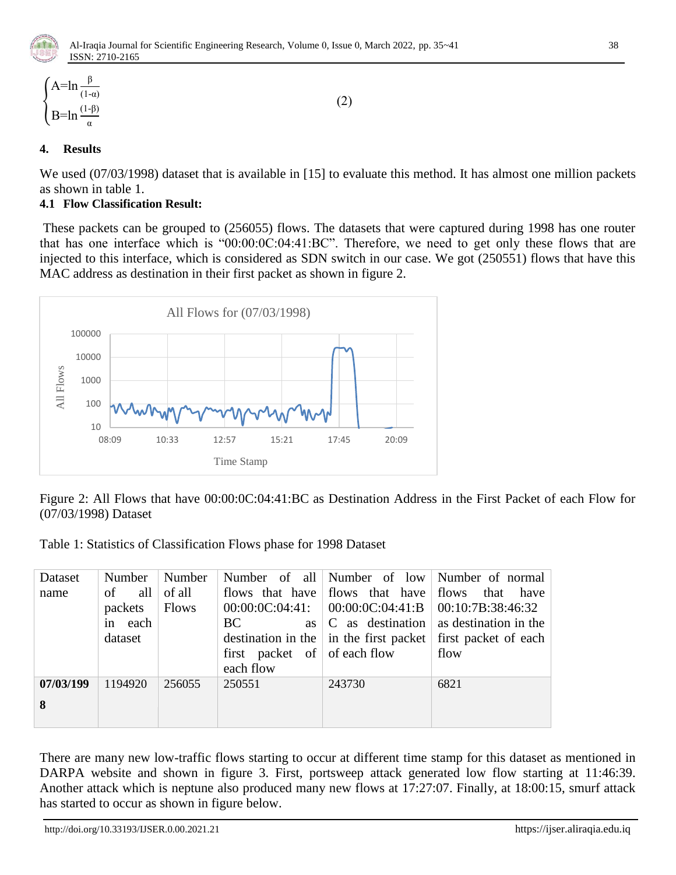

$$
\begin{cases} A = \ln \frac{\beta}{(1-\alpha)} \\ B = \ln \frac{(1-\beta)}{\alpha} \end{cases}
$$
 (2)

## **4. Results**

We used (07/03/1998) dataset that is available in [15] to evaluate this method. It has almost one million packets as shown in table 1.

## **4.1 Flow Classification Result:**

These packets can be grouped to (256055) flows. The datasets that were captured during 1998 has one router that has one interface which is " $00:00:00:00:04:41:BC$ ". Therefore, we need to get only these flows that are injected to this interface, which is considered as SDN switch in our case. We got (250551) flows that have this MAC address as destination in their first packet as shown in figure 2.



Figure 2: All Flows that have 00:00:0C:04:41:BC as Destination Address in the First Packet of each Flow for (07/03/1998) Dataset

Table 1: Statistics of Classification Flows phase for 1998 Dataset

| Dataset   | Number    | Number       |                                       |                                       | Number of all   Number of low   Number of normal                            |  |
|-----------|-----------|--------------|---------------------------------------|---------------------------------------|-----------------------------------------------------------------------------|--|
| name      | all<br>of | of all       |                                       | flows that have flows that have flows | that<br>have                                                                |  |
|           | packets   | <b>Flows</b> |                                       |                                       | $00:00:00:04:41:$ $00:00:00:00:441:B$ $00:10:7B:38:46:32$                   |  |
|           | in each   |              | BC.                                   |                                       | as $ C $ as destination as destination in the                               |  |
|           | dataset   |              |                                       |                                       | destination in the $\vert$ in the first packet $\vert$ first packet of each |  |
|           |           |              | first packet of $\sigma$ of each flow |                                       | flow                                                                        |  |
|           |           |              | each flow                             |                                       |                                                                             |  |
| 07/03/199 | 1194920   | 256055       | 250551                                | 243730                                | 6821                                                                        |  |
| 8         |           |              |                                       |                                       |                                                                             |  |
|           |           |              |                                       |                                       |                                                                             |  |

There are many new low-traffic flows starting to occur at different time stamp for this dataset as mentioned in DARPA website and shown in figure 3. First, portsweep attack generated low flow starting at 11:46:39. Another attack which is neptune also produced many new flows at 17:27:07. Finally, at 18:00:15, smurf attack has started to occur as shown in figure below.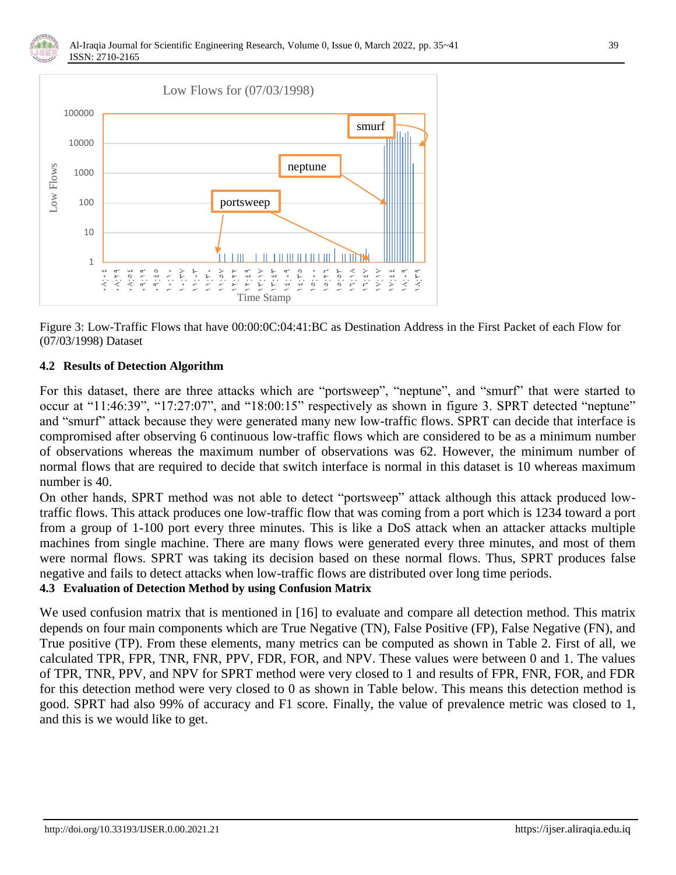



Figure 3: Low-Traffic Flows that have 00:00:0C:04:41:BC as Destination Address in the First Packet of each Flow for (07/03/1998) Dataset

#### **4.2 Results of Detection Algorithm**

For this dataset, there are three attacks which are "portsweep", "neptune", and "smurf" that were started to occur at " $11:46:39$ ", " $17:27:07$ ", and " $18:00:15$ " respectively as shown in figure 3. SPRT detected "neptune" and "smurf" attack because they were generated many new low-traffic flows. SPRT can decide that interface is compromised after observing 6 continuous low-traffic flows which are considered to be as a minimum number of observations whereas the maximum number of observations was 62. However, the minimum number of normal flows that are required to decide that switch interface is normal in this dataset is 10 whereas maximum number is 40.

On other hands, SPRT method was not able to detect "portsweep" attack although this attack produced lowtraffic flows. This attack produces one low-traffic flow that was coming from a port which is 1234 toward a port from a group of 1-100 port every three minutes. This is like a DoS attack when an attacker attacks multiple machines from single machine. There are many flows were generated every three minutes, and most of them were normal flows. SPRT was taking its decision based on these normal flows. Thus, SPRT produces false negative and fails to detect attacks when low-traffic flows are distributed over long time periods.

#### **4.3 Evaluation of Detection Method by using Confusion Matrix**

We used confusion matrix that is mentioned in [16] to evaluate and compare all detection method. This matrix depends on four main components which are True Negative (TN), False Positive (FP), False Negative (FN), and True positive (TP). From these elements, many metrics can be computed as shown in Table 2. First of all, we calculated TPR, FPR, TNR, FNR, PPV, FDR, FOR, and NPV. These values were between 0 and 1. The values of TPR, TNR, PPV, and NPV for SPRT method were very closed to 1 and results of FPR, FNR, FOR, and FDR for this detection method were very closed to 0 as shown in Table below. This means this detection method is good. SPRT had also 99% of accuracy and F1 score. Finally, the value of prevalence metric was closed to 1, and this is we would like to get.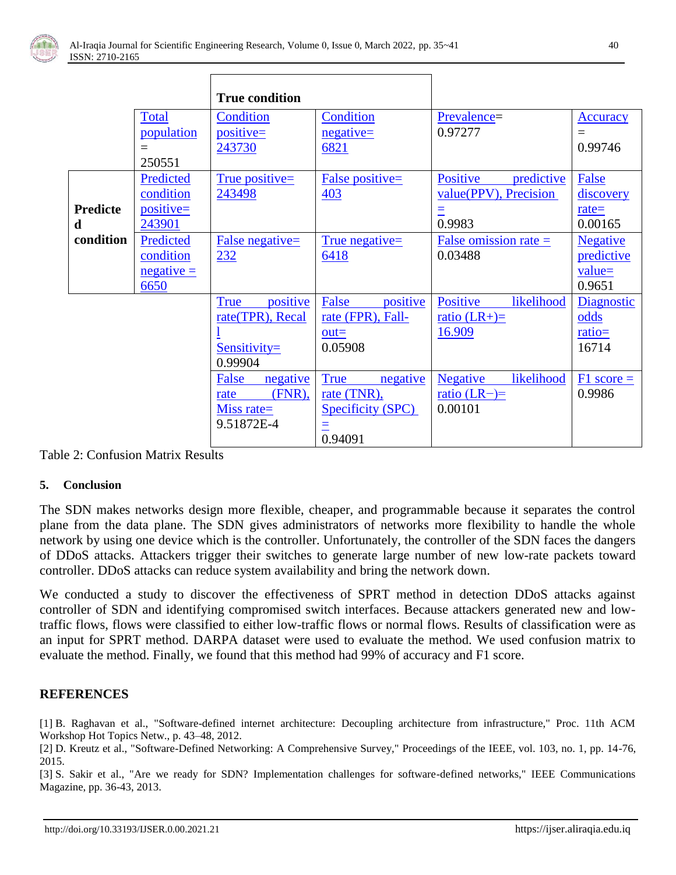

|                 |              | <b>True condition</b>   |                         |                               |                 |
|-----------------|--------------|-------------------------|-------------------------|-------------------------------|-----------------|
|                 | <b>Total</b> | Condition               | Condition               | Prevalence=                   | <b>Accuracy</b> |
|                 | population   | positive=               | $negative=$             | 0.97277                       | $=$             |
|                 | $\equiv$     | 243730                  | 6821                    |                               | 0.99746         |
|                 | 250551       |                         |                         |                               |                 |
|                 | Predicted    | True positive=          | False positive=         | Positive<br>predictive        | False           |
|                 | condition    | 243498                  | 403                     | value(PPV), Precision         | discovery       |
| <b>Predicte</b> | $positive=$  |                         |                         | Ξ                             | $rate =$        |
| d               | 243901       |                         |                         | 0.9983                        | 0.00165         |
| condition       | Predicted    | False negative=         | True negative=          | False omission rate $=$       | <b>Negative</b> |
|                 | condition    | 232                     | 6418                    | 0.03488                       | predictive      |
|                 | $negative =$ |                         |                         |                               | $value =$       |
|                 | 6650         |                         |                         |                               | 0.9651          |
|                 |              | positive<br><b>True</b> | positive<br>False       | Positive<br>likelihood        | Diagnostic      |
|                 |              | rate(TPR), Recal        | rate (FPR), Fall-       | ratio $(LR+)$ =               | odds            |
|                 |              |                         | $out =$                 | 16.909                        | $ratio =$       |
|                 |              | $Sensitivity=$          | 0.05908                 |                               | 16714           |
|                 |              | 0.99904                 |                         |                               |                 |
|                 |              | False<br>negative       | <b>True</b><br>negative | likelihood<br><b>Negative</b> | $F1$ score $=$  |
|                 |              | $(FNR)$ ,<br>rate       | rate (TNR),             | <u>ratio</u> (LR-)=           | 0.9986          |
|                 |              | Miss rate=              | Specificity (SPC)       | 0.00101                       |                 |
|                 |              | 9.51872E-4              | Ξ                       |                               |                 |
|                 |              |                         | 0.94091                 |                               |                 |

Table 2: Confusion Matrix Results

#### **5. Conclusion**

The SDN makes networks design more flexible, cheaper, and programmable because it separates the control plane from the data plane. The SDN gives administrators of networks more flexibility to handle the whole network by using one device which is the controller. Unfortunately, the controller of the SDN faces the dangers of DDoS attacks. Attackers trigger their switches to generate large number of new low-rate packets toward controller. DDoS attacks can reduce system availability and bring the network down.

We conducted a study to discover the effectiveness of SPRT method in detection DDoS attacks against controller of SDN and identifying compromised switch interfaces. Because attackers generated new and lowtraffic flows, flows were classified to either low-traffic flows or normal flows. Results of classification were as an input for SPRT method. DARPA dataset were used to evaluate the method. We used confusion matrix to evaluate the method. Finally, we found that this method had 99% of accuracy and F1 score.

#### **REFERENCES**

[1] B. Raghavan et al., "Software-defined internet architecture: Decoupling architecture from infrastructure," Proc. 11th ACM Workshop Hot Topics Netw., p. 43–48, 2012.

[2] D. Kreutz et al., "Software-Defined Networking: A Comprehensive Survey," Proceedings of the IEEE, vol. 103, no. 1, pp. 14-76, 2015.

[3] S. Sakir et al., "Are we ready for SDN? Implementation challenges for software-defined networks," IEEE Communications Magazine, pp. 36-43, 2013.